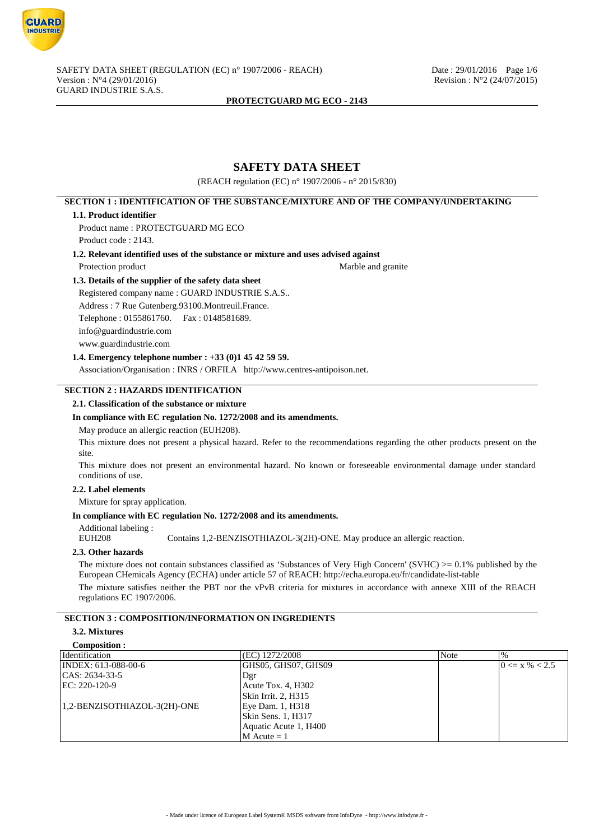

# **SAFETY DATA SHEET**

(REACH regulation (EC) n° 1907/2006 - n° 2015/830)

# **SECTION 1 : IDENTIFICATION OF THE SUBSTANCE/MIXTURE AND OF THE COMPANY/UNDERTAKING**

#### **1.1. Product identifier**

Product name : PROTECTGUARD MG ECO Product code : 2143.

**1.2. Relevant identified uses of the substance or mixture and uses advised against**

Protection product Marble and granite

## **1.3. Details of the supplier of the safety data sheet**

Registered company name : GUARD INDUSTRIE S.A.S.. Address : 7 Rue Gutenberg.93100.Montreuil.France. Telephone : 0155861760. Fax : 0148581689. info@guardindustrie.com www.guardindustrie.com

# **1.4. Emergency telephone number : +33 (0)1 45 42 59 59.**

Association/Organisation : INRS / ORFILA http://www.centres-antipoison.net.

# **SECTION 2 : HAZARDS IDENTIFICATION**

#### **2.1. Classification of the substance or mixture**

#### **In compliance with EC regulation No. 1272/2008 and its amendments.**

May produce an allergic reaction (EUH208).

This mixture does not present a physical hazard. Refer to the recommendations regarding the other products present on the site.

This mixture does not present an environmental hazard. No known or foreseeable environmental damage under standard conditions of use.

## **2.2. Label elements**

Mixture for spray application.

## **In compliance with EC regulation No. 1272/2008 and its amendments.**

Additional labeling :

EUH208 Contains 1,2-BENZISOTHIAZOL-3(2H)-ONE. May produce an allergic reaction.

## **2.3. Other hazards**

The mixture does not contain substances classified as 'Substances of Very High Concern' (SVHC)  $>= 0.1\%$  published by the European CHemicals Agency (ECHA) under article 57 of REACH: http://echa.europa.eu/fr/candidate-list-table

The mixture satisfies neither the PBT nor the vPvB criteria for mixtures in accordance with annexe XIII of the REACH regulations EC 1907/2006.

# **SECTION 3 : COMPOSITION/INFORMATION ON INGREDIENTS**

# **3.2. Mixtures**

# **Composition :**

| Identification               | (EC) 1272/2008        | 'Note | $\%$               |
|------------------------------|-----------------------|-------|--------------------|
| INDEX: 613-088-00-6          | GHS05, GHS07, GHS09   |       | $0 \le x \% < 2.5$ |
| $ CAS: 2634-33-5$            | Dgr                   |       |                    |
| $EC: 220-120-9$              | Acute Tox. 4, H302    |       |                    |
|                              | Skin Irrit. 2, H315   |       |                    |
| 1,2-BENZISOTHIAZOL-3(2H)-ONE | Eye Dam. 1, H318      |       |                    |
|                              | Skin Sens. 1, H317    |       |                    |
|                              | Aquatic Acute 1, H400 |       |                    |
|                              | $M$ Acute = 1         |       |                    |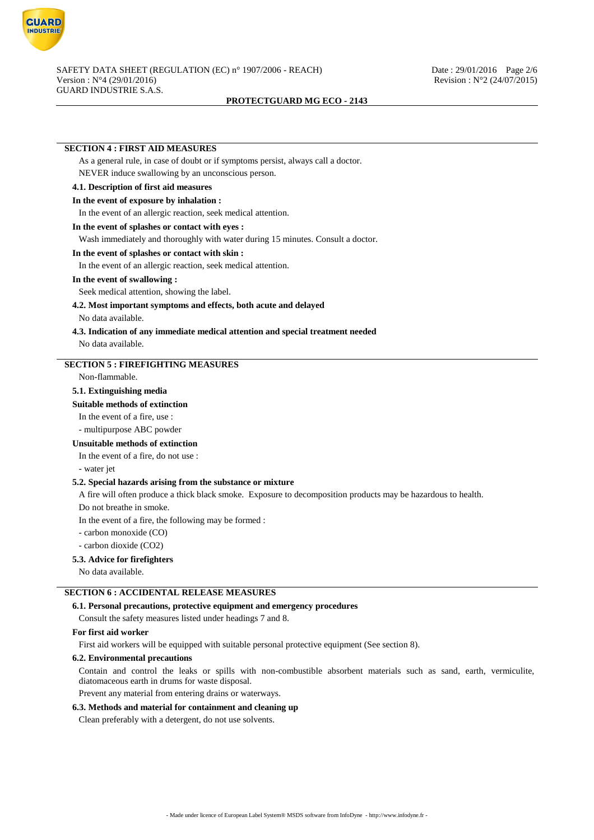

#### **SECTION 4 : FIRST AID MEASURES**

As a general rule, in case of doubt or if symptoms persist, always call a doctor. NEVER induce swallowing by an unconscious person.

# **4.1. Description of first aid measures**

## **In the event of exposure by inhalation :**

In the event of an allergic reaction, seek medical attention.

## **In the event of splashes or contact with eyes :**

Wash immediately and thoroughly with water during 15 minutes. Consult a doctor.

# **In the event of splashes or contact with skin :**

In the event of an allergic reaction, seek medical attention.

## **In the event of swallowing :**

Seek medical attention, showing the label.

# **4.2. Most important symptoms and effects, both acute and delayed**

No data available.

# **4.3. Indication of any immediate medical attention and special treatment needed**

No data available.

#### **SECTION 5 : FIREFIGHTING MEASURES**

Non-flammable.

#### **5.1. Extinguishing media**

#### **Suitable methods of extinction**

In the event of a fire, use :

- multipurpose ABC powder

# **Unsuitable methods of extinction**

In the event of a fire, do not use :

- water jet

#### **5.2. Special hazards arising from the substance or mixture**

A fire will often produce a thick black smoke. Exposure to decomposition products may be hazardous to health.

Do not breathe in smoke.

In the event of a fire, the following may be formed :

- carbon monoxide (CO)

- carbon dioxide (CO2)

# **5.3. Advice for firefighters**

No data available.

# **SECTION 6 : ACCIDENTAL RELEASE MEASURES**

#### **6.1. Personal precautions, protective equipment and emergency procedures**

Consult the safety measures listed under headings 7 and 8.

#### **For first aid worker**

First aid workers will be equipped with suitable personal protective equipment (See section 8).

## **6.2. Environmental precautions**

Contain and control the leaks or spills with non-combustible absorbent materials such as sand, earth, vermiculite, diatomaceous earth in drums for waste disposal.

Prevent any material from entering drains or waterways.

#### **6.3. Methods and material for containment and cleaning up**

Clean preferably with a detergent, do not use solvents.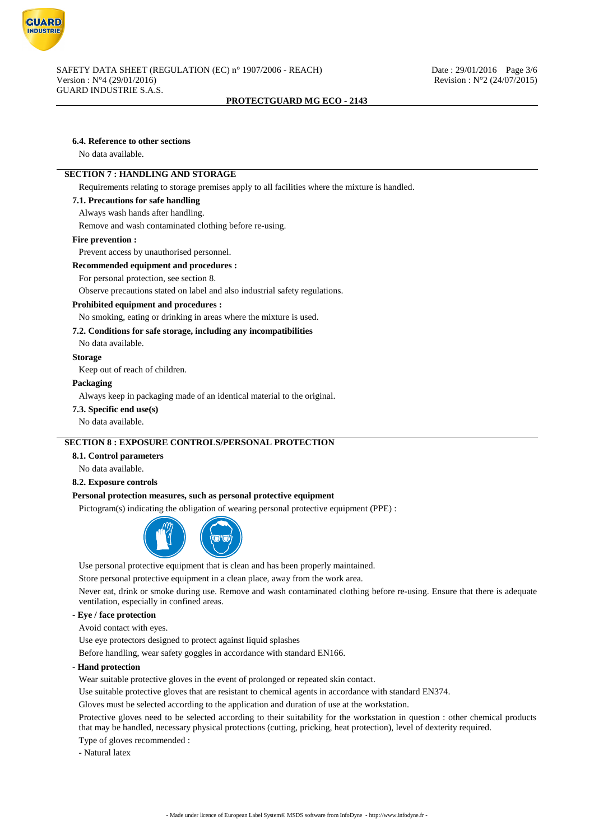

# **6.4. Reference to other sections**

No data available.

# **SECTION 7 : HANDLING AND STORAGE**

Requirements relating to storage premises apply to all facilities where the mixture is handled.

#### **7.1. Precautions for safe handling**

Always wash hands after handling.

Remove and wash contaminated clothing before re-using.

#### **Fire prevention :**

Prevent access by unauthorised personnel.

#### **Recommended equipment and procedures :**

For personal protection, see section 8.

Observe precautions stated on label and also industrial safety regulations.

#### **Prohibited equipment and procedures :**

No smoking, eating or drinking in areas where the mixture is used.

# **7.2. Conditions for safe storage, including any incompatibilities**

No data available.

#### **Storage**

Keep out of reach of children.

#### **Packaging**

Always keep in packaging made of an identical material to the original.

## **7.3. Specific end use(s)**

No data available.

# **SECTION 8 : EXPOSURE CONTROLS/PERSONAL PROTECTION**

#### **8.1. Control parameters**

No data available.

#### **8.2. Exposure controls**

#### **Personal protection measures, such as personal protective equipment**

Pictogram(s) indicating the obligation of wearing personal protective equipment (PPE) :



Use personal protective equipment that is clean and has been properly maintained.

Store personal protective equipment in a clean place, away from the work area.

Never eat, drink or smoke during use. Remove and wash contaminated clothing before re-using. Ensure that there is adequate ventilation, especially in confined areas.

# **- Eye / face protection**

Avoid contact with eyes.

Use eye protectors designed to protect against liquid splashes

Before handling, wear safety goggles in accordance with standard EN166.

## **- Hand protection**

Wear suitable protective gloves in the event of prolonged or repeated skin contact.

Use suitable protective gloves that are resistant to chemical agents in accordance with standard EN374.

Gloves must be selected according to the application and duration of use at the workstation.

Protective gloves need to be selected according to their suitability for the workstation in question : other chemical products that may be handled, necessary physical protections (cutting, pricking, heat protection), level of dexterity required.

Type of gloves recommended :

- Natural latex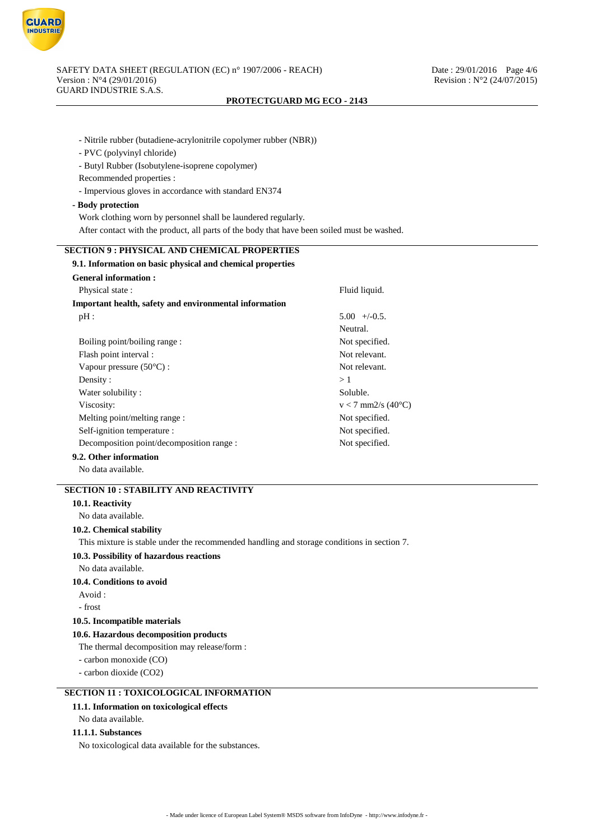

- Nitrile rubber (butadiene-acrylonitrile copolymer rubber (NBR))
- PVC (polyvinyl chloride)
- Butyl Rubber (Isobutylene-isoprene copolymer)
- Recommended properties :
- Impervious gloves in accordance with standard EN374

#### **- Body protection**

- Work clothing worn by personnel shall be laundered regularly.
- After contact with the product, all parts of the body that have been soiled must be washed.

# **SECTION 9 : PHYSICAL AND CHEMICAL PROPERTIES**

| 9.1. Information on basic physical and chemical properties |                      |  |
|------------------------------------------------------------|----------------------|--|
| <b>General information:</b>                                |                      |  |
| Physical state:                                            | Fluid liquid.        |  |
| Important health, safety and environmental information     |                      |  |
| pH:                                                        | $5.00 + (-0.5$       |  |
|                                                            | Neutral.             |  |
| Boiling point/boiling range:                               | Not specified.       |  |
| Flash point interval :                                     | Not relevant.        |  |
| Vapour pressure $(50^{\circ}C)$ :                          | Not relevant.        |  |
| Density:                                                   | >1                   |  |
| Water solubility:                                          | Soluble.             |  |
| Viscosity:                                                 | $v < 7$ mm2/s (40°C) |  |
| Melting point/melting range :                              | Not specified.       |  |
| Self-ignition temperature :<br>Not specified.              |                      |  |
| Decomposition point/decomposition range :                  | Not specified.       |  |

# **9.2. Other information**

No data available.

# **SECTION 10 : STABILITY AND REACTIVITY**

## **10.1. Reactivity**

No data available.

#### **10.2. Chemical stability**

This mixture is stable under the recommended handling and storage conditions in section 7.

#### **10.3. Possibility of hazardous reactions**

No data available.

#### **10.4. Conditions to avoid**

- Avoid :
- frost

#### **10.5. Incompatible materials**

#### **10.6. Hazardous decomposition products**

The thermal decomposition may release/form :

- carbon monoxide (CO)

- carbon dioxide (CO2)

# **SECTION 11 : TOXICOLOGICAL INFORMATION**

## **11.1. Information on toxicological effects**

No data available.

## **11.1.1. Substances**

No toxicological data available for the substances.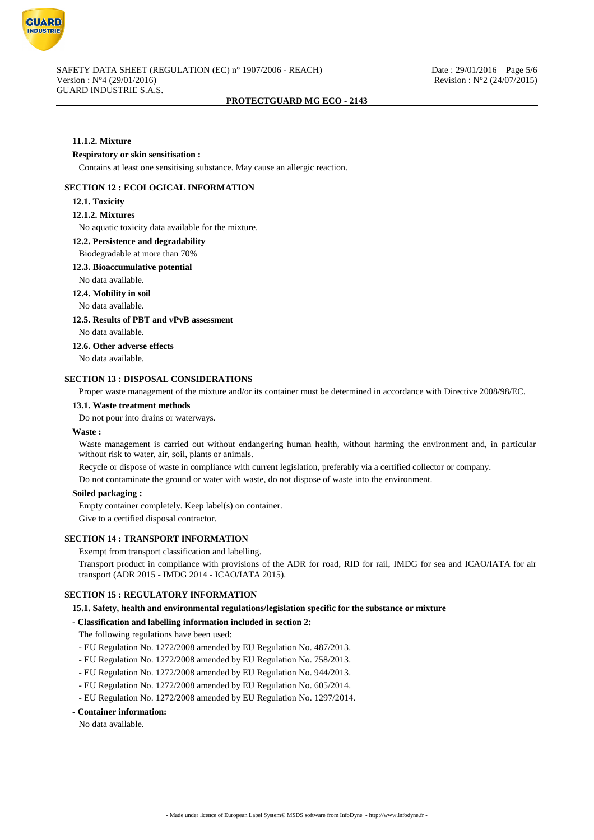

# **11.1.2. Mixture**

#### **Respiratory or skin sensitisation :**

Contains at least one sensitising substance. May cause an allergic reaction.

## **SECTION 12 : ECOLOGICAL INFORMATION**

# **12.1. Toxicity**

# **12.1.2. Mixtures**

No aquatic toxicity data available for the mixture.

## **12.2. Persistence and degradability**

#### Biodegradable at more than 70%

#### **12.3. Bioaccumulative potential**

No data available.

#### **12.4. Mobility in soil**

No data available.

#### **12.5. Results of PBT and vPvB assessment**

No data available.

## **12.6. Other adverse effects**

No data available.

# **SECTION 13 : DISPOSAL CONSIDERATIONS**

Proper waste management of the mixture and/or its container must be determined in accordance with Directive 2008/98/EC.

#### **13.1. Waste treatment methods**

Do not pour into drains or waterways.

#### **Waste :**

Waste management is carried out without endangering human health, without harming the environment and, in particular without risk to water, air, soil, plants or animals.

Recycle or dispose of waste in compliance with current legislation, preferably via a certified collector or company.

Do not contaminate the ground or water with waste, do not dispose of waste into the environment.

#### **Soiled packaging :**

Empty container completely. Keep label(s) on container.

Give to a certified disposal contractor.

# **SECTION 14 : TRANSPORT INFORMATION**

Exempt from transport classification and labelling.

Transport product in compliance with provisions of the ADR for road, RID for rail, IMDG for sea and ICAO/IATA for air transport (ADR 2015 - IMDG 2014 - ICAO/IATA 2015).

## **SECTION 15 : REGULATORY INFORMATION**

#### **15.1. Safety, health and environmental regulations/legislation specific for the substance or mixture**

#### **- Classification and labelling information included in section 2:**

The following regulations have been used:

- EU Regulation No. 1272/2008 amended by EU Regulation No. 487/2013.
- EU Regulation No. 1272/2008 amended by EU Regulation No. 758/2013.
- EU Regulation No. 1272/2008 amended by EU Regulation No. 944/2013.
- EU Regulation No. 1272/2008 amended by EU Regulation No. 605/2014.
- EU Regulation No. 1272/2008 amended by EU Regulation No. 1297/2014.
- **Container information:**

No data available.